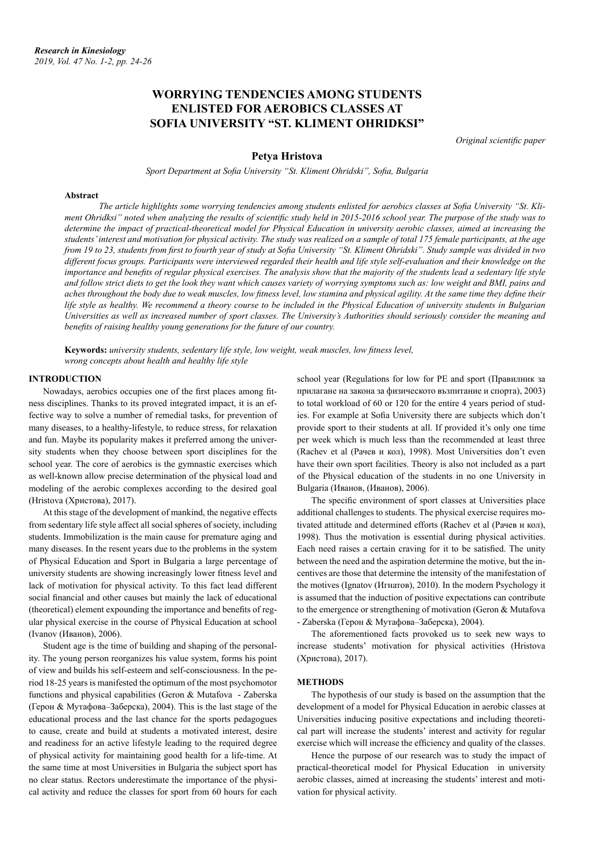# **WORRYING TENDENCIES AMONG STUDENTS ENLISTED FOR AEROBICS CLASSES AT SOFIA UNIVERSITY "ST. KLIMENT OHRIDKSI"**

*Original scientific paper*

## **Petya Hristova**

*Sport Department at Sofia University "St. Kliment Ohridski", Sofia, Bulgaria*

#### **Abstract**

*The article highlights some worrying tendencies among students enlisted for aerobics classes at Sofia University "St. Kliment Ohridksi" noted when analyzing the results of scientific study held in 2015-2016 school year. The purpose of the study was to determine the impact of practical-theoretical model for Physical Education in university aerobic classes, aimed at increasing the students' interest and motivation for physical activity. The study was realized on a sample of total 175 female participants, at the age from 19 to 23, students from first to fourth year of study at Sofia University "St. Kliment Ohridski". Study sample was divided in two*  different focus groups. Participants were interviewed regarded their health and life style self-evaluation and their knowledge on the *importance and benefits of regular physical exercises. The analysis show that the majority of the students lead a sedentary life style* and follow strict diets to get the look they want which causes variety of worrying symptoms such as: low weight and BMI, pains and *aches throughout the body due to weak muscles, low fitness level, low stamina and physical agility. At the same time they define their life style as healthy. We recommend a theory course to be included in the Physical Education of university students in Bulgarian Universities as well as increased number of sport classes. The University's Authorities should seriously consider the meaning and benefits of raising healthy young generations for the future of our country.*

**Keywords:** *university students, sedentary life style, low weight, weak muscles, low fitness level, wrong concepts about health and healthy life style*

#### **INTRODUCTION**

Nowadays, aerobics occupies one of the first places among fitness disciplines. Thanks to its proved integrated impact, it is an effective way to solve a number of remedial tasks, for prevention of many diseases, to a healthy-lifestyle, to reduce stress, for relaxation and fun. Maybe its popularity makes it preferred among the university students when they choose between sport disciplines for the school year. The core of aerobics is the gymnastic exercises which as well-known allow precise determination of the physical load and modeling of the aerobic complexes according to the desired goal (Hristova (Христова), 2017).

At this stage of the development of mankind, the negative effects from sedentary life style affect all social spheres of society, including students. Immobilization is the main cause for premature aging and many diseases. In the resent years due to the problems in the system of Physical Education and Sport in Bulgaria a large percentage of university students are showing increasingly lower fitness level and lack of motivation for physical activity. To this fact lead different social financial and other causes but mainly the lack of educational (theoretical) element expounding the importance and benefits of regular physical exercise in the course of Physical Education at school (Ivanov (Иванов), 2006).

Student age is the time of building and shaping of the personality. The young person reorganizes his value system, forms his point of view and builds his self-esteem and self-consciousness. In the period 18-25 years is manifested the optimum of the most psychomotor functions and physical capabilities (Geron & Mutafova - Zaberska (Герон & Мутафова–Заберска), 2004). This is the last stage of the educational process and the last chance for the sports pedagogues to cause, create and build at students a motivated interest, desire and readiness for an active lifestyle leading to the required degree of physical activity for maintaining good health for a life-time. At the same time at most Universities in Bulgaria the subject sport has no clear status. Rectors underestimate the importance of the physical activity and reduce the classes for sport from 60 hours for each

school year (Regulations for low for PE and sport (Правилник за прилагане на закона за физическото възпитание и спорта), 2003) to total workload of 60 or 120 for the entire 4 years period of studies. For example at Sofia University there are subjects which don't provide sport to their students at all. If provided it's only one time per week which is much less than the recommended at least three (Rachev et al (Рачев и кол), 1998). Most Universities don't even have their own sport facilities. Theory is also not included as a part of the Physical education of the students in no one University in Bulgaria (Иванов, (Иванов), 2006).

The specific environment of sport classes at Universities place additional challenges to students. The physical exercise requires motivated attitude and determined efforts (Rachev et al (Рачев и кол), 1998). Thus the motivation is essential during physical activities. Each need raises a certain craving for it to be satisfied. The unity between the need and the aspiration determine the motive, but the incentives are those that determine the intensity of the manifestation of the motives (Ignatov (Игнатов), 2010). In the modern Psychology it is assumed that the induction of positive expectations can contribute to the emergence or strengthening of motivation (Geron & Mutafova - Zaberska (Герон & Мутафова–Заберска), 2004).

The aforementioned facts provoked us to seek new ways to increase students' motivation for physical activities (Hristova (Христова), 2017).

### **METHODS**

The hypothesis of our study is based on the assumption that the development of a model for Physical Education in aerobic classes at Universities inducing positive expectations and including theoretical part will increase the students' interest and activity for regular exercise which will increase the efficiency and quality of the classes.

Hence the purpose of our research was to study the impact of practical-theoretical model for Physical Education in university aerobic classes, aimed at increasing the students' interest and motivation for physical activity.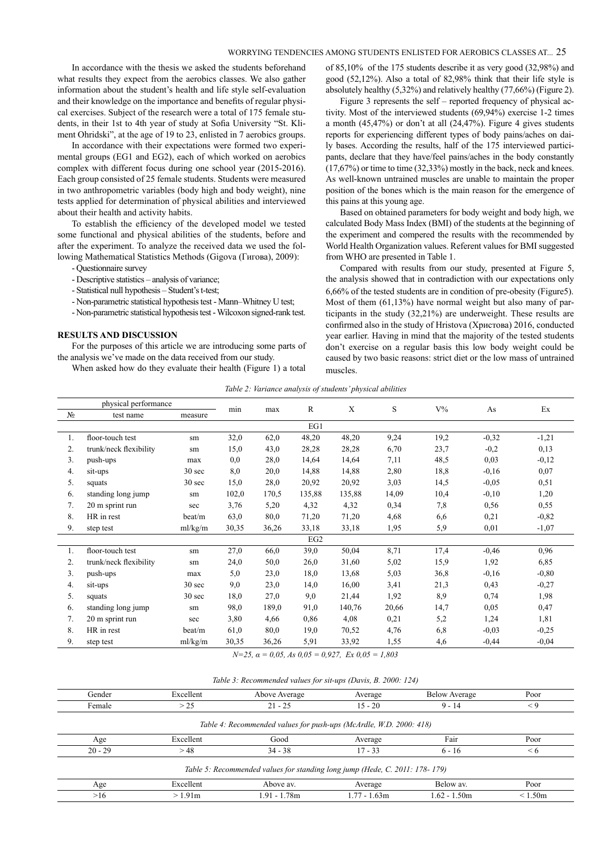# WORRYING TENDENCIES AMONG STUDENTS ENLISTED FOR AEROBICS CLASSES AT... 25

In accordance with the thesis we asked the students beforehand what results they expect from the aerobics classes. We also gather information about the student's health and life style self-evaluation and their knowledge on the importance and benefits of regular physical exercises. Subject of the research were a total of 175 female students, in their 1st to 4th year of study at Sofia University "St. Kliment Ohridski", at the age of 19 to 23, enlisted in 7 aerobics groups.

In accordance with their expectations were formed two experimental groups (EG1 and EG2), each of which worked on aerobics complex with different focus during one school year (2015-2016). Each group consisted of 25 female students. Students were measured in two anthropometric variables (body high and body weight), nine tests applied for determination of physical abilities and interviewed about their health and activity habits.

To establish the efficiency of the developed model we tested some functional and physical abilities of the students, before and after the experiment. To analyze the received data we used the following Mathematical Statistics Methods (Gigova (Гигова), 2009):

- Questionnaire survey
- Descriptive statistics analysis of variance;
- Statistical null hypothesis Student's t-test;
- Non-parametric statistical hypothesis test Mann–Whitney U test;
- Non-parametric statistical hypothesis test Wilcoxon signed-rank test.

#### **RESULTS AND DISCUSSION**

For the purposes of this article we are introducing some parts of the analysis we've made on the data received from our study. When asked how do they evaluate their health (Figure 1) a total

of 85,10% of the 175 students describe it as very good (32,98%) and good (52,12%). Also a total of 82,98% think that their life style is absolutely healthy (5,32%) and relatively healthy (77,66%) (Figure 2).

Figure 3 represents the self – reported frequency of physical activity. Most of the interviewed students (69,94%) exercise 1-2 times a month (45,47%) or don't at all (24,47%). Figure 4 gives students reports for experiencing different types of body pains/aches on daily bases. According the results, half of the 175 interviewed participants, declare that they have/feel pains/aches in the body constantly (17,67%) or time to time (32,33%) mostly in the back, neck and knees. As well-known untrained muscles are unable to maintain the proper position of the bones which is the main reason for the emergence of this pains at this young age.

Based on obtained parameters for body weight and body high, we calculated Body Mass Index (BMI) of the students at the beginning of the experiment and compered the results with the recommended by World Health Organization values. Referent values for BMI suggested from WHO are presented in Table 1.

Compared with results from our study, presented at Figure 5, the analysis showed that in contradiction with our expectations only 6,66% of the tested students are in condition of pre-obesity (Figure5). Most of them (61,13%) have normal weight but also many of participants in the study (32,21%) are underweight. These results are confirmed also in the study of Hristova (Христова) 2016, conducted year earlier. Having in mind that the majority of the tested students don't exercise on a regular basis this low body weight could be caused by two basic reasons: strict diet or the low mass of untrained muscles.

| Table 2: Variance analysis of students' physical abilities |
|------------------------------------------------------------|
|------------------------------------------------------------|

| physical performance |                        |         |       |       | R      | X      | S     | $V\%$ | As      | Ex      |
|----------------------|------------------------|---------|-------|-------|--------|--------|-------|-------|---------|---------|
| $N_2$                | test name              | measure | min   | max   |        |        |       |       |         |         |
|                      |                        |         |       |       | EG1    |        |       |       |         |         |
| 1.                   | floor-touch test       | sm      | 32,0  | 62,0  | 48,20  | 48,20  | 9,24  | 19,2  | $-0,32$ | $-1,21$ |
| 2.                   | trunk/neck flexibility | sm      | 15,0  | 43,0  | 28,28  | 28,28  | 6,70  | 23,7  | $-0,2$  | 0,13    |
| 3.                   | push-ups               | max     | 0,0   | 28,0  | 14,64  | 14,64  | 7,11  | 48,5  | 0,03    | $-0,12$ |
| 4.                   | sit-ups                | 30 sec  | 8,0   | 20,0  | 14,88  | 14,88  | 2,80  | 18,8  | $-0,16$ | 0.07    |
| 5.                   | squats                 | 30 sec  | 15,0  | 28,0  | 20,92  | 20,92  | 3,03  | 14,5  | $-0,05$ | 0,51    |
| 6.                   | standing long jump     | sm      | 102,0 | 170,5 | 135,88 | 135,88 | 14,09 | 10,4  | $-0,10$ | 1,20    |
| 7.                   | 20 m sprint run        | sec     | 3,76  | 5,20  | 4,32   | 4,32   | 0,34  | 7,8   | 0,56    | 0,55    |
| 8.                   | HR in rest             | beat/m  | 63,0  | 80,0  | 71,20  | 71,20  | 4,68  | 6,6   | 0,21    | $-0,82$ |
| 9.                   | step test              | ml/kg/m | 30,35 | 36,26 | 33,18  | 33,18  | 1,95  | 5,9   | 0,01    | $-1,07$ |
|                      |                        |         |       |       | EG2    |        |       |       |         |         |
| 1.                   | floor-touch test       | sm      | 27,0  | 66,0  | 39,0   | 50,04  | 8,71  | 17,4  | $-0,46$ | 0,96    |
| 2.                   | trunk/neck flexibility | sm      | 24,0  | 50,0  | 26,0   | 31,60  | 5,02  | 15,9  | 1,92    | 6,85    |
| 3.                   | push-ups               | max     | 5,0   | 23,0  | 18,0   | 13,68  | 5,03  | 36,8  | $-0,16$ | $-0,80$ |
| 4.                   | sit-ups                | 30 sec  | 9,0   | 23,0  | 14,0   | 16,00  | 3,41  | 21,3  | 0,43    | $-0,27$ |
| 5.                   | squats                 | 30 sec  | 18,0  | 27,0  | 9,0    | 21,44  | 1,92  | 8,9   | 0,74    | 1,98    |
| 6.                   | standing long jump     | sm      | 98,0  | 189,0 | 91,0   | 140,76 | 20,66 | 14,7  | 0,05    | 0,47    |
| 7.                   | 20 m sprint run        | sec     | 3,80  | 4,66  | 0,86   | 4,08   | 0,21  | 5,2   | 1,24    | 1,81    |
| 8.                   | HR in rest             | beat/m  | 61,0  | 80,0  | 19,0   | 70,52  | 4,76  | 6,8   | $-0,03$ | $-0,25$ |
| 9.                   | step test              | ml/kg/m | 30,35 | 36,26 | 5,91   | 33,92  | 1,55  | 4,6   | $-0,44$ | $-0.04$ |

 $N=25$ ,  $\alpha = 0.05$ , As  $0.05 = 0.927$ , Ex  $0.05 = 1,803$ 

| Gender    | Excellent | Above Average                                                               | Average      | <b>Below Average</b> | Poor     |
|-----------|-----------|-----------------------------------------------------------------------------|--------------|----------------------|----------|
| Female    | > 25      | $21 - 25$                                                                   | $15 - 20$    | $9 - 14$             | $\lt 9$  |
|           |           | Table 4: Recommended values for push-ups (McArdle, W.D. 2000: 418)          |              |                      |          |
| Age       | Excellent | Good                                                                        | Average      | Fair                 | Poor     |
| $20 - 29$ | >48       | $34 - 38$                                                                   | $17 - 33$    | $6 - 16$             | $\leq 6$ |
|           |           | Table 5: Recommended values for standing long jump (Hede, C. 2011: 178-179) |              |                      |          |
| Age       | Excellent | Above av.                                                                   | Average      | Below av.            | Poor     |
| >16       | >1.91m    | 1.91 - 1.78m                                                                | 1.77 - 1.63m | $1.62 - 1.50m$       | < 1.50m  |